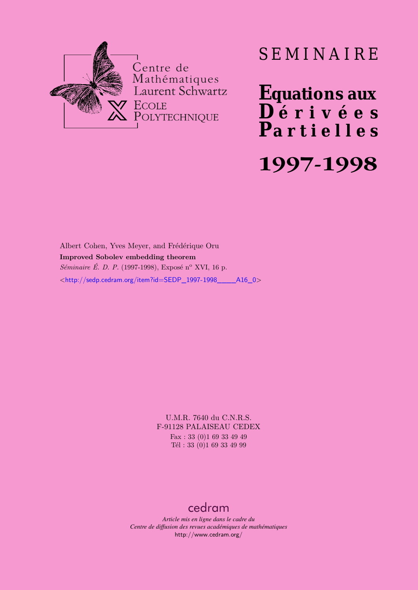

# SEMINAIRE

**Equations aux**  $\overline{\mathbf{D}}$  érivées **Partielles 1997-1998**

Albert Cohen, Yves Meyer, and Frédérique Oru **Improved Sobolev embedding theorem** *Séminaire É. D. P.* (1997-1998), Exposé n<sup>o</sup> XVI, 16 p.  $\lt$ http://sedp.cedram.org/item?id=SEDP\_1997-1998\_\_\_\_\_A16\_0>

> U.M.R. 7640 du C.N.R.S. F-91128 PALAISEAU CEDEX Fax : 33 (0)1 69 33 49 49 Tél : 33 (0)1 69 33 49 99

## [cedram](http://www.cedram.org/)

*Article mis en ligne dans le cadre du Centre de diffusion des revues académiques de mathématiques* <http://www.cedram.org/>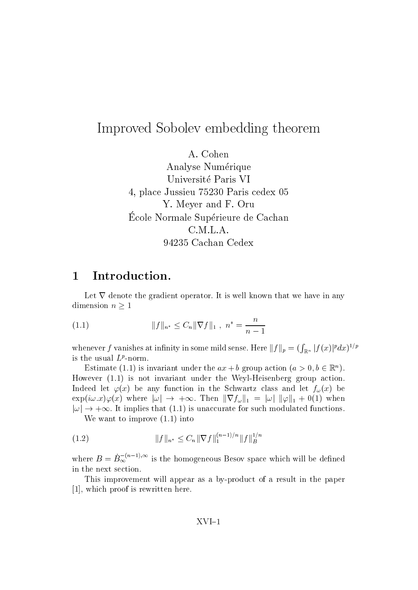## Improved Sobolev embedding theorem

Analyse Numérique Universite Paris VI place Just a Paris centre and the Paris centre of the Paris centre of the Paris centre of the Paris centre of t Y- Meyer and F- Oru Ecole Normale Superieure de Cachan 94235 Cachan Cedex

#### Introduction- $\mathbf{1}$

Let  $\nabla$  denote the gradient operator. It is well known that we have in any dimension  $n \geq 1$ 

(1.1) 
$$
||f||_{n^*} \leq C_n ||\nabla f||_1, \quad n^* = \frac{n}{n-1}
$$

whenever  $f$  vanishes at infinity in some mild sense. Here  $\|f\|_p=(\int_{\R^n}|f(x)|^pdx)^{1/p}$ is the usual  $L$  -norm.

Estimate (1.1) is invariant under the  $ax + b$  group action  $(a > 0, b \in \mathbb{R}^n)$ . However - is not invariant under the WeylHeisenberg group action-Indeed let  $\varphi(x)$  be any function in the Schwartz class and let  $f_{\omega}(x)$  be  $\exp(i\omega.x)\varphi(x)$  where  $|\omega| \to +\infty$ . Then  $\|\nabla f_\omega\|_1 = |\omega| \|\varphi\|_1 + 0(1)$  when  $|\omega|\rightarrow +\infty.$  It implies that  $(1.1)$  is unaccurate for such modulated functions.

We want to improve - into

(1.2) 
$$
||f||_{n^*} \leq C_n ||\nabla f||_1^{(n-1)/n} ||f||_B^{1/n}
$$

where  $B = B_{\infty}^{-(n-1),\infty}$  is the homogeneous Besov space which will be defined in the next section.

This improvement will appear as a by-product of a result in the paper [1], which proof is rewritten here.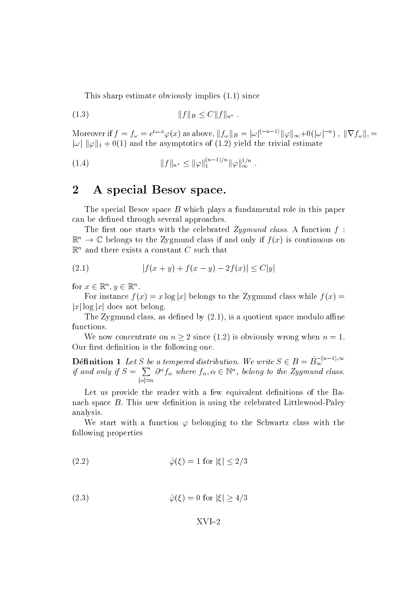This sharp estimates of the since  $\mathcal{L}_{\mathcal{A}}$  is a single set of the since  $\mathcal{L}_{\mathcal{A}}$ 

(1.3) 
$$
||f||_B \le C||f||_{n^*}.
$$

Moreover if  $f = f_\omega = e^{i\omega.x}\varphi(x)$  as above,  $||f_\omega||_B = |\omega|^{(-n-1)} ||\varphi||_\infty + o(|\omega|^{-n})$  ,  $||\nabla f_\omega||$ ,  $=$  $|\omega|$   $\|\varphi\|_1 + 0(1)$  and the asymptotics of  $(1.2)$  yield the trivial estimate

$$
(1.4) \t\t\t ||f||_{n^*} \le ||\varphi||_1^{(n-1)/n} ||\varphi||_{\infty}^{1/n}.
$$

## 2 A special Besov space.

The special Besov space B which plays a fundamental role in this paper can be defined through several approaches.

 $\mathcal{M}_{\rm eff}$  one starts with the celebration function function function function function function function function function function function function function function function function function function function funct  $\mathbb{R}^n \to \mathbb{C}$  belongs to the Zygmund class if and only if  $f(x)$  is continuous on  $\mathbb{R}^n$  and there exists a constant C such that

(2.1) 
$$
|f(x + y) + f(x - y) - 2f(x)| \le C|y|
$$

for  $x \in \mathbb{R}^n, y \in \mathbb{R}^n$ .

For instance  $f(x) = x \log |x|$  belongs to the Zygmund class while  $f(x) = x \log |x|$  $|x| \log |x|$  does not belong.

The Zygmund class as dened by - is a quotient space modulo ane functions.

We now concentrate on  $n \geq 2$  since (1.2) is obviously wrong when  $n = 1$ . Our first definition is the following one.

**Définition 1** Let S be a tempered distribution. We write  $S \in B = \dot{B}_{\infty}^{-(n-1),\infty}$  if and only if  $S = \sum_{|\alpha|=n} \partial^{\alpha} f_{\alpha}$  where  $f_{\alpha}, \alpha \in \mathbb{N}^n$ , belong to the Zygmund class.

Let us provide the reader with a few equivalent definitions of the Banach space B- B-machael is using the celebrated contracts in B-celebrated LittlewoodPaley analysis-

We start with a function  $\varphi$  belonging to the Schwartz class with the following properties

$$
\hat{\varphi}(\xi) = 1 \text{ for } |\xi| \le 2/3
$$

$$
\hat{\varphi}(\xi) = 0 \text{ for } |\xi| \ge 4/3
$$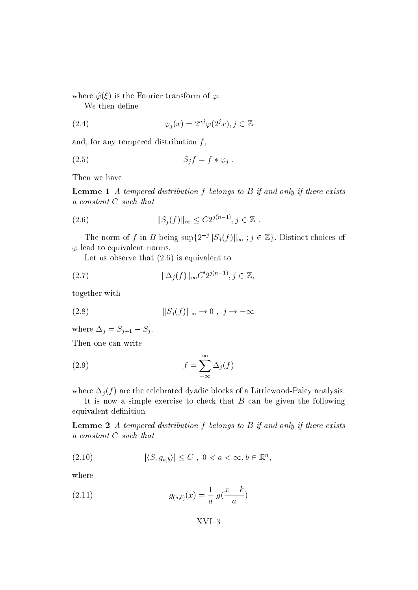where  $\hat{\varphi}(\xi)$  is the Fourier transform of  $\varphi$ .

We then define

(2.4) 
$$
\varphi_j(x) = 2^{nj} \varphi(2^j x), j \in \mathbb{Z}
$$

and, for any tempered distribution  $f$ ,

$$
(2.5) \tS_j f = f * \varphi_j.
$$

Then we have

**Lemme 1** A tempered distribution f belongs to  $B$  if and only if there exists a constant C such that

(2.6) 
$$
||S_j(f)||_{\infty} \leq C2^{j(n-1)}, j \in \mathbb{Z}.
$$

The norm of f in B being  $\sup\{2^{-j}||S_j(f)||_{\infty}$  ;  $j \in \mathbb{Z}\}$ . Distinct choices of  $\varphi$  lead to equivalent norms.

 $\mathcal{L}$  is equivalent to the following that  $\mathcal{L}$  is equivalent to the following top  $\mathcal{L}$ 

(2.7) 
$$
\|\Delta_j(f)\|_{\infty} C' 2^{j(n-1)}, j \in \mathbb{Z},
$$

together with

$$
(2.8) \t\t\t\t||S_j(f)||_{\infty} \to 0 , j \to -\infty
$$

where  $\Delta_j = S_{j+1} - S_j$ .

Then one can write

(2.9) 
$$
f = \sum_{-\infty}^{\infty} \Delta_j(f)
$$

where  $\Delta_i(f)$  are the celebrated dyadic blocks of a Littlewood-Paley analysis.

It is now a simple exercise to check that  $B$  can be given the following equivalent definition

**Lemme 2** A tempered distribution f belongs to  $B$  if and only if there exists a constant C such that

$$
|\langle S, g_{a,b}\rangle| \leq C , 0 < a < \infty, b \in \mathbb{R}^n,
$$

where

(2.11) 
$$
g_{(a,b)}(x) = \frac{1}{a} g(\frac{x-k}{a})
$$

XVI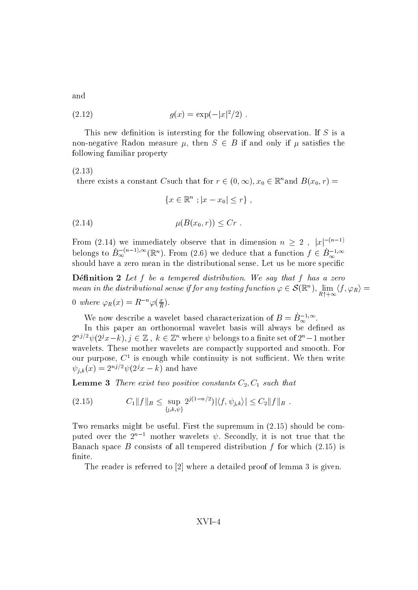and

(2.12) 
$$
g(x) = \exp(-|x|^2/2).
$$

 $\blacksquare$  This is intersting for the following for the following observation-  $\blacksquare$  is an isomorphism non-negative Radon measure  $\mu$ , then  $S \in B$  if and only if  $\mu$  satisfies the following familiar property

-

there exists a constant Csuch that for  $r \in (0, \infty), x_0 \in \mathbb{R}^n$  and  $B(x_0, r) =$ 

$$
\{x \in \mathbb{R}^n \; ; |x - x_0| \le r\} \; ,
$$

$$
\mu(B(x_0,r)) \leq Cr.
$$

From (2.14) we immediately observe that in dimension  $n \geq 2$ ,  $|x|^{-(n-1)}$ belongs to  $\dot{B}_{\infty}^{-(n-1),\infty}(\mathbb{R}^n)$ . From (2.6) we deduce that a function  $f \in \dot{B}_{\infty}^{-1,\infty}$ should have a zero mean in the distributional sense- Let us be more specic

D-enition Letf be a tempered distribution- We say that f has a zero mean in the distributional sense if for any testing function  $\varphi \in \mathcal{S}(\mathbb{R}^n)$ ,  $\lim_{R\uparrow+\infty}\langle f,\varphi_R\rangle=0$ 

0 where 
$$
\varphi_R(x) = R^{-n} \varphi(\frac{x}{R})
$$
.

We now describe a wavelet based characterization of  $B = B_{\infty}^{-1,\infty}$ .

In this paper an orthonormal wavelet basis will always be defined as  $2^{nj/2}\psi(2^jx-k), j\in\mathbb{Z}$ ,  $k\in\mathbb{Z}^n$  where  $\psi$  belongs to a finite set of  $2^n-1$  mother wavelets-to-mother wavelets-to-mother wavelets-to-mother wavelets-to-mother wavelets are compactly supported and our purpose,  $C^{\pm}$  is enough while continuity is not sufficient. We then write  $\psi_{i,k}(x) = \Sigma^{x,i} \psi(z \cdot x - \kappa)$  and have

Lemme two positive constants  $\Gamma$  and  $\Gamma$  and  $\Gamma$  and  $\Gamma$  such that  $C$ 

$$
(2.15) \t C_1 \|f\|_B \leq \sup_{\{j,k,\psi\}} 2^{j(1-n/2)} |\langle f,\psi_{j,k}\rangle| \leq C_2 \|f\|_B.
$$

Two remarks might be useful-the supremum in  $\mathbb{F}_2$  the supremum in  $\mathbb{F}_2$  supremum in  $\mathbb{F}_2$  supremum in  $\mathbb{F}_2$ puted over the  $2^{n-1}$  mother wavelets  $\psi$ . Secondly, it is not true that the Banach space B consists of all tempered distribution f for which - is finite.

The reader is referred to  $[2]$  where a detailed proof of lemma 3 is given.

### XVI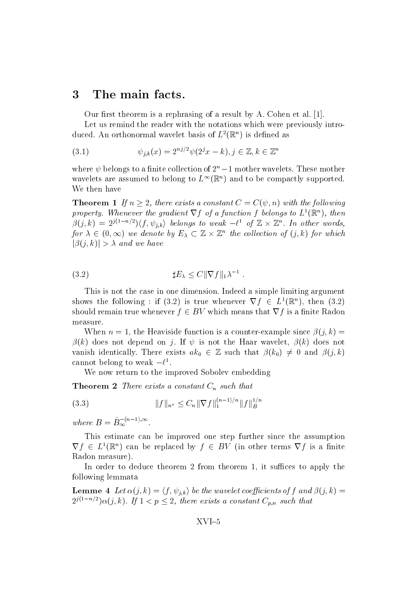## 3 The main facts.

Our rst theorem is a rephrasing of a result by A- Cohen etal- 
-

Let us remind the reader with the notations which were previously intro duced. An orthonormal wavelet basis of  $L^2(\mathbb{R}^n)$  is defined as

(3.1) 
$$
\psi_{j,k}(x) = 2^{nj/2} \psi(2^{j}x - k), j \in \mathbb{Z}, k \in \mathbb{Z}^{n}
$$

where  $\psi$  belongs to a nime collection of  $z_\parallel = 1$  mother wavelets. These mother wavelets are assumed to belong to  $L^{\infty}(\mathbb{R}^n)$  and to be compactly supported. We then have

**Theorem 1** If  $n \geq 2$ , there exists a constant  $C = C(\psi, n)$  with the following property. Whenever the gradient  $\nabla f$  of a function f belongs to  $L^1(\mathbb{R}^n)$ , then  $\beta(j,k) = 2^{j(1-n/2)} \langle f, \psi_{j,k} \rangle$  belongs to weak  $-\ell^1$  of  $\mathbb{Z} \times \mathbb{Z}^n$ . In other words, for  $\lambda \in (0,\infty)$  we denote by  $E_\lambda \subset \mathbb{Z} \times \mathbb{Z}^n$  the collection of  $(j,k)$  for which  $|\beta(j,k)| > \lambda$  and we have

E Ckrf k--

This is not the case in one dimension-dimension-dimension-dimension-dimension-dimension-dimension-dimension-dimensionshows the following : if (3.2) is true whenever  $\nabla f \in L^1(\mathbb{R}^n)$ , then (3.2) should remain true whenever  $f \in BV$  which means that  $\nabla f$  is a finite Radon measure-

When n the Heaviside function is a counterexample since j- k k does not depend on j- If is not the Haar wavelet k does not vanish identically. There exists  $ak_0 \in \mathbb{Z}$  such that  $\beta(k_0) \neq 0$  and  $\beta(j,k)$ cannot belong to weak  $-\ell$ .

We now return to the improved Sobolev embedding

**Theorem 2** There exists a constant  $C_n$  such that

$$
(3.3) \t\t\t ||f||_{n^*} \leq C_n ||\nabla f||_1^{(n-1)/n} ||f||_B^{1/n}
$$

where  $B=B_{\infty}^{-(n-1),\infty}$ .

This estimate can be improved one step further since the assumption  $\nabla f \in L^1(\mathbb{R}^n)$  can be replaced by  $f \in BV$  (in other terms  $\nabla f$  is a finite Radon measure).

In order to deduce theorem 2 from theorem 1, it suffices to apply the following lemmata

**Lemme** 4 Let  $\alpha(j,k) = \langle f, \psi_{j,k} \rangle$  be the wavelet coefficients of f and  $\beta(j,k)$  =  $2^{j(1-n/2)}\alpha(j,k)$ . If  $1 < p \leq 2$ , there exists a constant  $C_{p,n}$  such that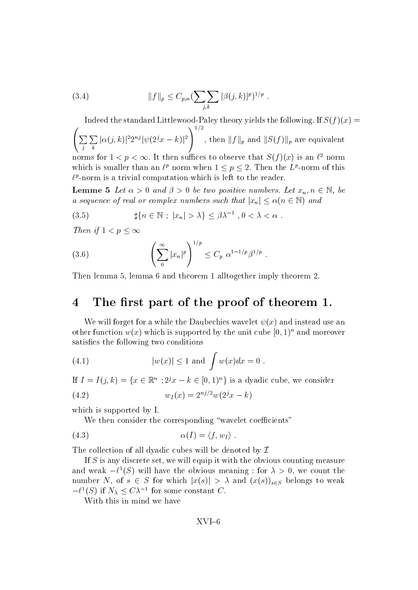(3.4) 
$$
||f||_p \leq C_{p,n} \left(\sum_{j,k} |\beta(j,k)|^p\right)^{1/p}.
$$

In the standard LittlewoodPaley theory yields the following-following-following-following-following-following--——————————————————— <sup>j</sup> <u>Personal and the set of the set of the set of the set of the set of the set of the set of the set of the set of the set of the set of the set of the set of the set of the set of the set of the set of the set of the set of</u>  $|\alpha(j,k)|^22^{nj}|\psi(2^jx-k)|^2\bigg)^{1/2},\ {\rm then}$ , then  $||f||_p$  and  $||S(f)||_p$  are equivalent norms for  $1 \leq p \leq \infty$ . It then sume cs to observe that  $S(f)(x)$  is an  $\ell^2$  norm which is smaller than an  $\ell^p$  norm when  $1 \leq p \leq 2$ . Then the  $L^p$ -norm of this  $\ell$  -norm is a trivial computation which is left to the reader.

**Lemme 5** Let  $\alpha > 0$  and  $\beta > 0$  be two positive numbers. Let  $x_n, n \in \mathbb{N}$ , be a sequence of real or complex numbers such that  $|x_n| \leq \alpha (n \in \mathbb{N})$  and

(3.5) 
$$
\sharp\{n \in \mathbb{N} \; ; \; |x_n| > \lambda\} \leq \beta \lambda^{-1}, 0 < \lambda < \alpha.
$$

Then if  $1 < p < \infty$ 

(3.6) 
$$
\left(\sum_{0}^{\infty} |x_{n}|^{p}\right)^{1/p} \leq C_{p} \alpha^{1-1/p} \beta^{1/p} .
$$

Then lemma 5, lemma 6 and theorem 1 alltogether imply theorem 2.

## 4 The first part of the proof of theorem 1.

We will forget for a while the Daubechies wavelet  $\psi(x)$  and instead use an other function  $w(x)$  which is supported by the unit cube  $[0,1)^+$  and moreover satisfies the following two conditions

(4.1) 
$$
|w(x)| \le 1
$$
 and  $\int w(x)dx = 0$ .

If  $I = I(j,k) = \{x \in \mathbb{R}^n : 2^jx - k \in [0,1)^n\}$  is a dyadic cube, we consider

(4.2) 
$$
w_I(x) = 2^{nj/2} w(2^j x - k)
$$

which is supported by I.

We then consider the corresponding "wavelet coefficients"

$$
\alpha(I) = \langle f, w_I \rangle .
$$

The collection of all dyadic cubes will be denoted by  $\mathcal I$ 

If  $S$  is any discrete set, we will equip it with the obvious counting measure and weak  $-\ell^-(S)$  will have the obvious meaning : for  $\lambda > 0$ , we count the number N, of  $s \in S$  for which  $|x(s)| > \lambda$  and  $(x(s))_{s \in S}$  belongs to weak  $-\ell^1(S)$  if  $N_\lambda \leq C\lambda^{-1}$  for some constant C.

With this in mind we have

XVI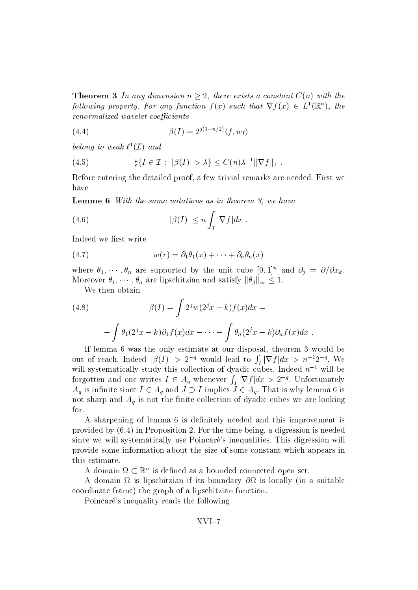**Theorem 3** In any dimension  $n \geq 2$ , there exists a constant  $C(n)$  with the following property. For any function  $f(x)$  such that  $\nabla f(x) \in L^1(\mathbb{R}^n)$ , the renormalized wavelet coefficients

$$
\beta(I) = 2^{j(1-n/2)} \langle f, w_I \rangle
$$

belong to weak  $\ell^1(\mathcal{I})$  and

(4.5) 
$$
\sharp \{ I \in \mathcal{I} ; \ |\beta(I)| > \lambda \} \leq C(n) \lambda^{-1} \|\nabla f\|_1.
$$

Before entering the detailed proof a few trivial remarks are needed- First we have

**Lemme 6** With the same notations as in theorem 3, we have

(4.6) 
$$
|\beta(I)| \leq n \int_I |\nabla f| dx.
$$

Indeed we first write

(4.7) 
$$
w(r) = \partial_1 \theta_1(x) + \cdots + \partial_n \theta_n(x)
$$

where  $\sigma_1, \cdots, \sigma_n$  are supported by the unit cube  $[0, 1]$  and  $\sigma_i = \sigma/\sigma x_k$ . Moreover  $\theta_1, \cdots, \theta_n$  are lipschitzian and satisfy  $\|\theta_j\|_{\infty} \leq 1$ .

We then obtain

(4.8) 
$$
\beta(I) = \int 2^j w(2^j x - k) f(x) dx =
$$

$$
- \int \theta_1(2^j x - k) \partial_1 f(x) dx - \dots - \int \theta_n(2^j x - k) \partial_n f(x) dx.
$$

If lemma  $6$  was the only estimate at our disposal, theorem  $3$  would be out of reach. Indeed  $|\beta(I)| > 2^{-q}$  would lead to  $\int_I |\nabla f| dx > n^{-1}2^{-q}$ . We will systematically study this collection of dyadic cubes. Indeed  $n^{-1}$  will be forgotten and one writes  $I \in A_q$  whenever  $\int_I |\nabla f| dx > 2^{-q}$ . Unfortunately  $A_q$  is infinite since  $I \in A_q$  and  $J \supset I$  implies  $J \in A_q$ . That is why lemma 6 is not sharp and  $A_q$  is not the finite collection of dyadic cubes we are looking for-

A sharpening of lemma 6 is definitely needed and this improvement is provided by - in Proposition - For the time being a digression is needed since we will systematically use Poincare s inequalities- This digression will provide some information about the size of some constant which appears in this estimate.

A domain  $\Omega \subset \mathbb{R}^n$  is defined as a bounded connected open set.

A domain  $\Omega$  is lipschitzian if its boundary  $\partial\Omega$  is locally (in a suitable coordinate frame) the graph of a lipschitzian function.

Poincaré's inequality reads the following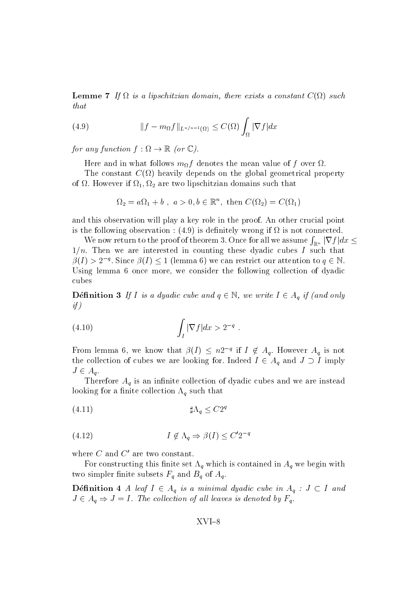Lemme If ! is a lipschitzian domain there exists a constant C! such that

(4.9) 
$$
||f - m_{\Omega}f||_{L^{n/n-1}(\Omega)} \leq C(\Omega) \int_{\Omega} |\nabla f| dx
$$

for any function  $f : \Omega \to \mathbb{R}$  (or  $\mathbb{C}$ ).

Here and in what follows  $m_{\Omega} f$  denotes the mean value of f over  $\Omega$ .

The constant  $C(\Omega)$  heavily depends on the global geometrical property of  $\mathbf{H}$  are two lipschitzian domains such that  $\mathbf{H}$ 

$$
\Omega_2 = a\Omega_1 + b, \ a > 0, b \in \mathbb{R}^n, \text{ then } C(\Omega_2) = C(\Omega_1)
$$

and this observation will playakey role in the proof- An other crucial point is the following observation  $\mathcal{C}$  , is deniminary wrong if  $\mathcal{C}$  is not connected.

We now return to the proof of theorem 3. Once for all we assume  $\int_{\mathbb{R}^n}|\nabla f|dx\leq$ n, and we are interested in the counting these dyadic cubes I such the county  $\beta(I) > 2^{-q}$ . Since  $\beta(I) \leq 1$  (lemma 6) we can restrict our attention to  $q \in \mathbb{N}$ . Using lemma 6 once more, we consider the following collection of dyadic

**Définition 3** If I is a dyadic cube and  $q \in \mathbb{N}$ , we write  $I \in A_q$  if (and only if

$$
(4.10)\qquad \qquad \int_{I} |\nabla f| dx > 2^{-q} .
$$

From lemma 6, we know that  $\beta(I) \leq n2^{-q}$  if  $I \notin A_q$ . However  $A_q$  is not the collection of cubes we are looking for. Indeed  $I \in A_q$  and  $J \supset I$  imply  $J \in A_q$ .

Therefore  $A_q$  is an infinite collection of dyadic cubes and we are instead looking for a finite collection  $\Lambda_q$  such that

$$
\sharp \Lambda_q \leq C 2^q
$$

$$
(4.12)\t\t I \notin \Lambda_q \Rightarrow \beta(I) \le C' 2^{-q}
$$

where  $C$  and  $C'$  are two constant.

For constructing this nite set "q which is contained in Aq we begin with two simpler finite subsets  $F_q$  and  $B_q$  of  $A_q$ 

**Definition** 4 A leaf  $I \in A_q$  is a minimal dyadic cube in  $A_q : J \subset I$  and  $J \in A_q \Rightarrow J = I$ . The collection of all leaves is denoted by  $F_q$ .

$$
XVI - 8
$$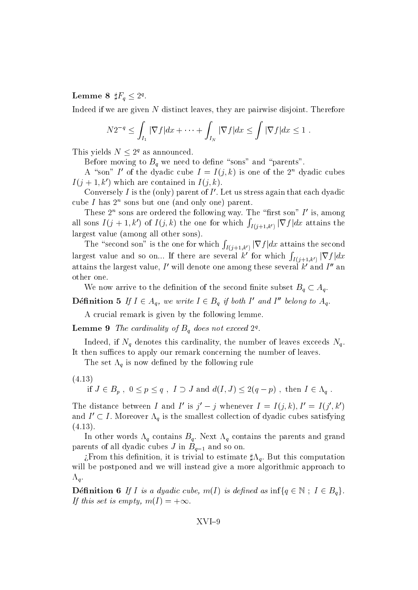Lemme 8  $\sharp F_q \leq 2^q$ .

Indeed if we are given N distinct leaves they are pairwise disjoint- Therefore

$$
N2^{-q} \leq \int_{I_1} |\nabla f| dx + \dots + \int_{I_N} |\nabla f| dx \leq \int |\nabla f| dx \leq 1.
$$

This yields  $N \leq 2^q$  as announced.

Before moving to  $B_q$  we need to define "sons" and "parents".

A "son" I' of the dyadic cube  $I = I(j, k)$  is one of the  $2^n$  dyadic cubes  $I(j+1,k')$  which are contained in  $I(j,k)$ .

Conversely I is the (only) parent of I'. Let us stress again that each dyadic  $\frac{1}{2}$  cube 1 has  $\frac{2}{3}$  sons but one (and only one) parent.

These  $2^n$  sons are ordered the following way. The "first son" I' is, among all sons  $I(j+1,k')$  of  $I(j,k)$  the one for which  $\int_{I(j+1,k')}$ **R** Research and the second second second second second second second second second second second second second second second second second second second second second second second second second second second second secon  $\int_{I(j+1,k')} |\nabla f| dx$  attains the largest value (among all other sons).

 $\sim$  second second son is the second son which is the second second solution of  $\sim$ **Representative Contract Contract Contract Contract Contract Contract Contract Contract Contract Contract Contract Contract Contract Contract Contract Contract Contract Contract Contract Contract Contract Contract Contract**  $\int_{I(j+1,k')} |\nabla f| dx$  attains the second largest value and so on... If there are several k' for which  $\int_{I(z+1,k)}$  $\int_{I(j+1,k')} |\nabla f| dx$ attains the largest value, I' will denote one among these several  $k'$  and I'' an other one.

We now arrive to the definition of the second finite subset  $B_q \subset A_q$ .

**Définition 5** If  $I \in A_q$ , we write  $I \in B_q$  if both I' and I'' belong to  $A_q$ .

A crucial remark is given by the following lemme.

**Lemme 9** The caramatity of  $B_q$  abes not exceed  $Z^*$ .

Indeed, if  $N_q$  denotes this cardinality, the number of leaves exceeds  $N_q$ . It then suffices to apply our remark concerning the number of leaves.

The set  $\Lambda_q$  is now defined by the following rule

 $(4.13)$ 

if  $J \in B_p$ ,  $0 \le p \le q$ ,  $I \supset J$  and  $d(I, J) \le 2(q - p)$ , then  $I \in \Lambda_q$ .

The distance between I and I' is  $i' - j$  whenever  $I = I(i, k)$ ,  $I' = I(i', k')$ and  $I' \subset I$ . Moreover  $\Lambda_q$  is the smallest collection of dyadic cubes satisfying . . . . . . .

 $\mathsf{u}$  and  $\mathsf{u}$  and  $\mathsf{v}$  and  $\mathsf{v}$  and  $\mathsf{v}$  and  $\mathsf{v}$  and  $\mathsf{v}$  and  $\mathsf{v}$  and  $\mathsf{v}$  and  $\mathsf{v}$  and  $\mathsf{v}$  and  $\mathsf{v}$  and  $\mathsf{v}$  and  $\mathsf{v}$  and  $\mathsf{v}$  and  $\mathsf{v}$  and  $\mathsf{v}$  and  $p$  are only defined all depends  $p$  in  $B_{q-1}$  and so on-

 $\mathbf{f}$  , trivial to estimate the interval to estimate  $\mathbf{f}$  of  $\mathbf{u}$  , this computation is the interval to estimate  $\mathbf{f}$ will be postponed and we will instead give a more algorithmic approach to  $\Lambda_q$ .

**Définition 6** If I is a dyadic cube,  $m(I)$  is defined as  $\inf\{q \in \mathbb{N} : I \in B_q\}.$ If this set is empty,  $m(I) = +\infty$ .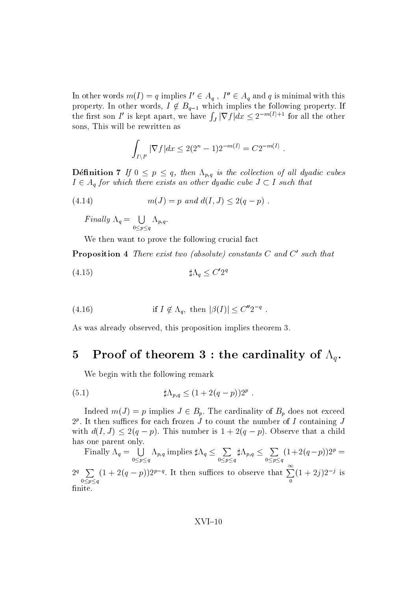In other words  $m(I) = q$  implies  $I' \in A_q$ ,  $I'' \in A_q$  and q is minimal with this property. In other words,  $I \notin B_{q-1}$  which implies the following property. If the first son I' is kept apart, we have  $\int_J |\nabla f| dx \leq 2^{-m(I)+1}$  for all the other sons, This will be rewritten as

$$
\int_{I \setminus I'} |\nabla f| dx \le 2(2^n - 1)2^{-m(I)} = C2^{-m(I)}.
$$

**Definition 7** If  $0 \leq p \leq q$ , then  $\Lambda_{p,q}$  is the collection of all dyadic cubes  $I \in A_q$  for which there exists an other dyadic cube  $J \subset I$  such that

(4.14) 
$$
m(J) = p \text{ and } d(I, J) \le 2(q - p) .
$$

Finally 
$$
\Lambda_q = \bigcup_{0 \le p \le q} \Lambda_{p,q}
$$
.

We then want to prove the following crucial fact

**Proposition 4** There exist two (absolute) constants  $C$  and  $C'$  such that

"q <sup>C</sup> <sup>q</sup> -

(4.16) if 
$$
I \notin \Lambda_q
$$
, then  $|\beta(I)| \leq C''2^{-q}$ .

As was already observed, this proposition implies theorem 3.

### Proof of theorem 3 : the cardinality of  $\Lambda_q$ .  $\overline{5}$

We begin with the following remark

(5.1) 
$$
\sharp \Lambda_{p,q} \le (1 + 2(q - p))2^p.
$$

Indeed  $m(J) = p$  implies  $J \in B_p$ . The cardinality of  $B_p$  does not exceed  $2^r$ . It then sumces for each frozen J to count the number of I containing J with  $d(I, J) \leq 2(q - p)$ . This number is  $1 + 2(q - p)$ . Observe that a child has one parent only.

Finally  $\Lambda_q = \begin{pmatrix} 1 & \Lambda_{p,q} \end{pmatrix}$  implies  $0 < p < q$  $\Lambda_{p,q}$  implies  $\sharp \Lambda_q \leq \sum \sharp \Lambda_{p,q} \leq \sum (1+\epsilon)$  $0 < p < q$  $\sharp \Lambda_{p,q} \leq \sum (1+2(q-p))2^p =$  $0 < p < q$  $(1 + 2(q - p))2^{r} =$  $2^q$   $\sum$   $(1 + 2(q - p))2^{p-1}$  $0 < p < q$  $(1+2(q-p))2^{p-q}$ . It then suffices to observe that  $\sum_{n=1}^{\infty} (1+2i)2^{-j}$  $(1 + 2i)2^{-j}$  is finite.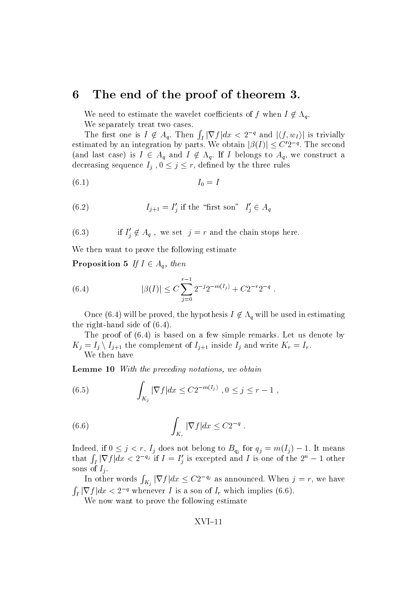## 6 The end of the proof of theorem 3.

We need to estimate the wavelet coefficients of f when  $I \notin \Lambda_q$ . We separately treat two cases.

The first one is  $I \notin A_q$ . Then  $\int_I |\nabla f| dx < 2^{-q}$  and  $|\langle f, w_I \rangle|$  is trivially estimated by an integration by parts. We obtain  $|\beta(I)| \leq C' 2^{-q}$ . The second (and last case) is  $I \in A_q$  and  $I \notin \Lambda_q$ . If I belongs to  $A_q$ , we construct a decreasing sequence  $I_j$ ,  $0 \leq j \leq r$ , defined by the three rules

$$
(6.1) \t\t I_0 = I
$$

(6.2) 
$$
I_{j+1} = I'_j \text{ if the "first son" } I'_j \in A_q
$$

(6.3) if  $I'_j \notin A_q$ , we set  $j = r$  and the chain stops here.

We then want to prove the following estimate

**Proposition 5** If  $I \in A_q$ , then

(6.4) 
$$
|\beta(I)| \leq C \sum_{j=0}^{r-1} 2^{-j} 2^{-m(I_j)} + C 2^{-r} 2^{-q}.
$$

Once (6.4) will be proved, the hypothesis  $I \notin \Lambda_q$  will be used in estimating the right side of the right of  $\sim$ 

The proof of - is based on a few simple remarks- Let us denote by  $K_j = I_j \setminus I_{j+1}$  the complement of  $I_{j+1}$  inside  $I_j$  and write  $K_r = I_r$ . We then have

**Lemme 10** With the preceding notations, we obtain

(6.5) 
$$
\int_{K_j} |\nabla f| dx \leq C 2^{-m(I_j)}, 0 \leq j \leq r-1,
$$

(6.6) 
$$
\int_{K_r} |\nabla f| dx \leq C 2^{-q} .
$$

Indeed, if  $0 \leq j < r$ ,  $I_j$  does not belong to  $B_{q_j}$  for  $q_j = m(I_j) - 1$ . It means that  $\int_I |\nabla f| dx < 2^{-q_j}$  if  $I = I'_j$  is excepted and I is one of the  $2^n - 1$  other sons of  $I_i$ .

In other words  $\int_{K_j} |\nabla f| dx \leq C2^{-q_j}$  as announced. When  $j = r$ , we have  $\int_I |\nabla f| dx < 2^{-q}$  whenever I is a son of  $I_r$  which implies (6.6).

We now want to prove the following estimate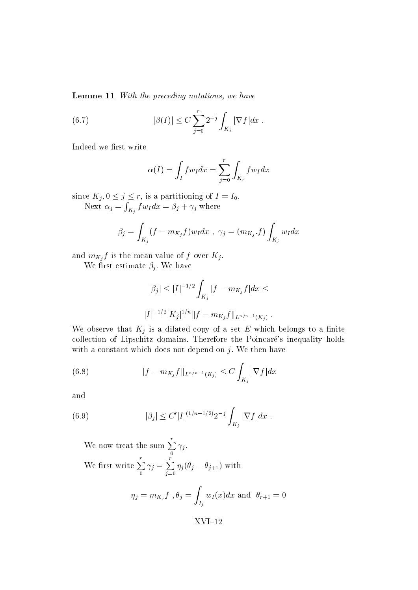**Lemme 11** With the preceding notations, we have

(6.7) 
$$
|\beta(I)| \leq C \sum_{j=0}^{r} 2^{-j} \int_{K_j} |\nabla f| dx.
$$

Indeed we first write

$$
\alpha(I) = \int_I f w_I dx = \sum_{j=0}^r \int_{K_j} f w_I dx
$$

since  $K_i, 0 \leq j \leq r$ , is a partitioning of  $I = I_0$ . Next  $\alpha_j = \int_{K_j} f w_I dx = \beta_j + \gamma_j$  where

$$
\beta_j = \int_{K_j} (f - m_{K_j} f) w_I dx \ , \ \gamma_j = (m_{K_j} \cdot f) \int_{K_j} w_I dx
$$

and  $m_{K_i} f$  is the mean value of f over  $K_j$ .

where  $\mathcal{L}$  is the state in the state in the state in the state in the state in the state in the state in the state in the state in the state in the state in the state in the state in the state in the state in the state

$$
|\beta_j| \le |I|^{-1/2} \int_{K_j} |f - m_{K_j} f| dx \le
$$
  

$$
|I|^{-1/2} |K_j|^{1/n} ||f - m_{K_j} f||_{L^{n/n-1}(K_j)}.
$$

We observe that  $K_j$  is a dilated copy of a set E which belongs to a finite collection of Lipschitz domains- the Poincare the Poincare s interest and points, from the Poincare s with a constant which does not depend on j-maximum constant which does not depend on j-maximum constant which d

(6.8) 
$$
||f - m_{K_j}f||_{L^{n/n-1}(K_j)} \leq C \int_{K_j} |\nabla f| dx
$$

and

(6.9) 
$$
|\beta_j| \leq C' |I|^{(1/n-1/2)} 2^{-j} \int_{K_j} |\nabla f| dx.
$$

We now treat the sum  $\sum \gamma_i$ . j - We first write  $\sum \gamma_i =$  $\gamma_i = \sum \eta_i (\theta_i - \theta_i)$ je poznata u koristi u koristi u koristi u koristi u koristi u koristi u koristi u koristi u koristi u koristi  $y_{i}$  ( $y_{j}$   $=$   $y_{i+1}$ ) with

$$
\eta_j = m_{K_j} f, \theta_j = \int_{I_j} w_I(x) dx \text{ and } \theta_{r+1} = 0
$$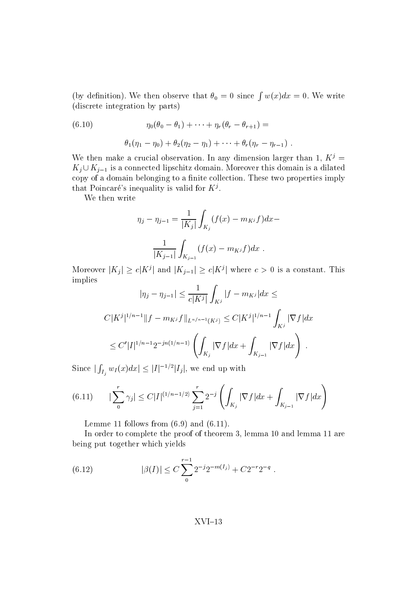(by definition). We then observe that  $\theta_0 = 0$  since  $\int w(x) dx = 0$ . We write discrete integration by parts

(6.10) 
$$
\eta_0(\theta_0 - \theta_1) + \cdots + \eta_r(\theta_r - \theta_{r+1}) =
$$

$$
\theta_1(\eta_1 - \eta_0) + \theta_2(\eta_2 - \eta_1) + \cdots + \theta_r(\eta_r - \eta_{r-1}).
$$

We then make a crucial observation. In any dimension larger than  $I, \Lambda^{\vee} \equiv$  $K_i\cup K_{i-1}$  is a connected lipschitz domain. Moreover this domain is a dilated copy of a domain belonging to a nite collection- These two properties imply that Poincare s inequality is valid for  $K^{\flat}$ .

We then write

$$
\eta_j - \eta_{j-1} = \frac{1}{|K_j|} \int_{K_j} (f(x) - m_{K^j} f) dx -
$$

$$
\frac{1}{|K_{j-1}|} \int_{K_{j-1}} (f(x) - m_{K^j} f) dx.
$$

Moreover  $|K_i| \ge c|K^j|$  and  $|K_{j-1}| \ge c|K^j|$  where  $c > 0$  is a constant. This implies

$$
|\eta_j - \eta_{j-1}| \le \frac{1}{c|K^j|} \int_{K^j} |f - m_{K^j}| dx \le
$$
  

$$
C|K^j|^{1/n-1} ||f - m_{K^j}f||_{L^{n/n-1}(K^j)} \le C|K^j|^{1/n-1} \int_{K^j} |\nabla f| dx
$$
  

$$
\le C'|I|^{1/n-1} 2^{-jn(1/n-1)} \left( \int_{K_j} |\nabla f| dx + \int_{K_{j-1}} |\nabla f| dx \right).
$$

Since  $|\int_{I_j} w_I(x)dx| \leq |I|^{-1/2}|I_j|$ , we end up with

$$
(6.11) \qquad \left|\sum_{j=0}^{r} \gamma_{j}\right| \leq C|I|^{(1/n-1/2)} \sum_{j=1}^{r} 2^{-j} \left(\int_{K_{j}} |\nabla f| dx + \int_{K_{j-1}} |\nabla f| dx\right)
$$

Lemme follows from - and --

In order to complete the proof of theorem lemma and lemma are being put together which yields

(6.12) 
$$
|\beta(I)| \leq C \sum_{0}^{r-1} 2^{-j} 2^{-m(I_j)} + C 2^{-r} 2^{-q}.
$$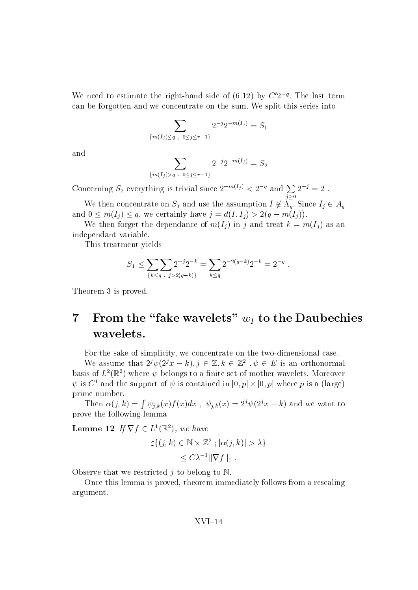We need to estimate the right-hand side of  $(6.12)$  by  $C'2^{-q}$ . The last term can be forgotten and we concentrate on the sum- We split this series into

$$
\sum_{\{m(I_j)\leq q\ ,\ 0\leq j\leq r-1\}} 2^{-j}2^{-m(I_j)}=S_1
$$

and

$$
\sum_{\{m(I_j) > q \; , \; 0 \le j \le r-1\}} 2^{-j} 2^{-m(I_j)} = S_2
$$

Concerning  $S_2$  everything is trivial since  $2^{-m(I_j)} < 2^{-q}$  and  $\sum 2^{-j} = 2$ .  $j \geq 0$  $2^{-j} = 2$  .

We then concentrate on  $S_1$  and use the assumption  $I \notin \Lambda_q$ . Since  $I_i \in A_q$ and  $0 \leq m(I_i) \leq q$ , we certainly have  $j = d(I, I_i) > 2(q - m(I_i)).$ 

We then forget the dependance of  $m(I_i)$  in j and treat  $k = m(I_i)$  as an independant variable-

This treatment yields

$$
S_1 \le \sum_{\{k \le q \;,\; j > 2(q-k)\}} 2^{-j} 2^{-k} = \sum_{k \le q} 2^{-2(q-k)} 2^{-k} = 2^{-q}.
$$

Theorem 3 is proved.

## $\overline{7}$ From the "fake wavelets"  $w_I$  to the Daubechies wavelets.

For the sake of simplicity, we concentrate on the two-dimensional case.

We assume that  $2^{j}\psi(2^{j}x - k), j \in \mathbb{Z}, k \in \mathbb{Z}^{2}$ ,  $\psi \in E$  is an orthonormal basis of  $L^2(\mathbb{R}^2)$  where  $\psi$  belongs to a finite set of mother wavelets. Moreover  $\psi$  is  $C^{\pm}$  and the support of  $\psi$  is contained in  $[0, p] \times [0, p]$  where p is a (large) prime number-

Then  $\alpha(j,k) = \int \psi_{j,k}(x) f(x) dx$ ,  $\psi_{j,k}(x) = 2^j \psi(2^j x - k)$  and we want to prove the following lemma

**Lemme 12** If  $\nabla f \in L^1(\mathbb{R}^2)$ , we have

$$
\sharp \{ (j,k) \in \mathbb{N} \times \mathbb{Z}^2 : |\alpha(j,k)| > \lambda \}
$$
  
 
$$
\leq C \lambda^{-1} ||\nabla f||_1 .
$$

Observe that we restricted j to belong to  $\mathbb N$ .

Once this lemma is proved, theorem immediately follows from a rescaling argument.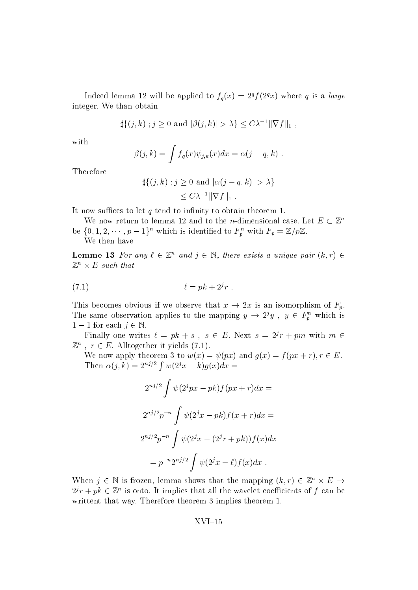Indeed lemma 12 will be applied to  $f_q(x) = 2^q f(2^q x)$  where q is a large integration in the contract of the contract of the contract of the contract of the contract of the contract of

$$
\sharp \{(j,k) \; ; j \geq 0 \text{ and } |\beta(j,k)| > \lambda \} \leq C\lambda^{-1} \|\nabla f\|_1 ,
$$

with

$$
\beta(j,k) = \int f_q(x)\psi_{j,k}(x)dx = \alpha(j-q,k) .
$$

Therefore

$$
\sharp \{ (j,k) : j \ge 0 \text{ and } |\alpha(j-q,k)| > \lambda \}
$$
  

$$
\le C\lambda^{-1} ||\nabla f||_1.
$$

It now suffices to let  $q$  tend to infinity to obtain theorem 1.

We now return to lemma 12 and to the *n*-dimensional case. Let  $E \subset \mathbb{Z}^n$ be  $\{0, 1, 2, \dots, p-1\}^n$  which is identified to  $F_p^n$  with  $F_p = \mathbb{Z}/p\mathbb{Z}$ .

We then have

**Lemme 13** For any  $\ell \in \mathbb{Z}^n$  and  $j \in \mathbb{N}$ , there exists a unique pair  $(k, r) \in$  $\mathbb{Z}^n \times E$  such that

$$
(7.1) \qquad \ell = p k + 2^j r \ .
$$

This becomes obvious if we observe that  $x \to 2x$  is an isomorphism of  $F_p$ . The same observation applies to the mapping  $y \to 2^j y$ ,  $y \in F_n^{\prime\prime}$  which is  $1-1$  for each  $j \in \mathbb{N}$ .

Finally one writes  $\ell = p k + s$ ,  $s \in E$ . Next  $s = 2^j r + p m$  with  $m \in$  $\mathbb{Z}^n$ ,  $r \in E$ . Alltogether it yields (7.1).

We now apply theorem 3 to  $w(x) = \psi(px)$  and  $q(x) = f(px + r)$ ,  $r \in E$ . Then  $\alpha(j,k) = 2^{nj/2} \int w(2^j x - k) q(x) dx =$ 

$$
2^{nj/2} \int \psi(2^{j}px - pk) f(px + r) dx =
$$
  

$$
2^{nj/2} p^{-n} \int \psi(2^{j}x - pk) f(x + r) dx =
$$
  

$$
2^{nj/2} p^{-n} \int \psi(2^{j}x - (2^{j}r + pk)) f(x) dx
$$
  

$$
= p^{-n} 2^{nj/2} \int \psi(2^{j}x - \ell) f(x) dx .
$$

When  $j \in \mathbb{N}$  is frozen, lemma shows that the mapping  $(k, r) \in \mathbb{Z}^n \times E \rightarrow$  $2^{j}r + pk \in \mathbb{Z}^{n}$  is onto. It implies that all the wavelet coefficients of f can be writtent that way-theorem implies that way-theorem implies theorem in the second term in the second term in the